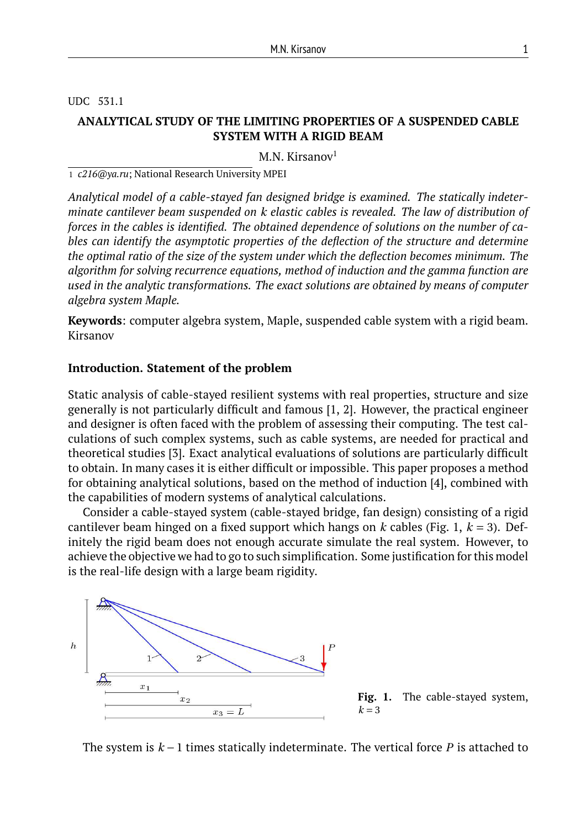UDC 531.1

# **ANALYTICAL STUDY OF THE LIMITING PROPERTIES OF A SUSPENDED CABLE SYSTEM WITH A RIGID BEAM**

M.N. Kirsanov $1$ 

1 *c216@ya.ru*; National Research University MPEI

*Analytical model of a cable-stayed fan designed bridge is examined. The statically indeterminate cantilever beam suspended on k elastic cables is revealed. The law of distribution of forces in the cables is identified. The obtained dependence of solutions on the number of cables can identify the asymptotic properties of the deflection of the structure and determine the optimal ratio of the size of the system under which the deflection becomes minimum. The algorithm for solving recurrence equations, method of induction and the gamma function are used in the analytic transformations. The exact solutions are obtained by means of computer algebra system Maple.*

**Keywords**: computer algebra system, Maple, suspended cable system with a rigid beam. Kirsanov

## **Introduction. Statement of the problem**

Static analysis of cable-stayed resilient systems with real properties, structure and size generally is not particularly difficult and famous [1, 2]. However, the practical engineer and designer is often faced with the problem of assessing their computing. The test calculations of such complex systems, such as cable systems, are needed for practical and theoretical studies [3]. Exact analytical evaluations of solutions are particularly difficult to obtain. In many cases it is either difficult or impossible. This paper proposes a method for obtaining analytical solutions, based on the method of induction [4], combined with the capabilities of modern systems of analytical calculations.

Consider a cable-stayed system (cable-stayed bridge, fan design) consisting of a rigid cantilever beam hinged on a fixed support which hangs on *k* cables (Fig. 1, *k* = 3). Definitely the rigid beam does not enough accurate simulate the real system. However, to achieve the objective we had to go to such simplification. Some justification for this model is the real-life design with a large beam rigidity.





The system is *k* −1 times statically indeterminate. The vertical force *P* is attached to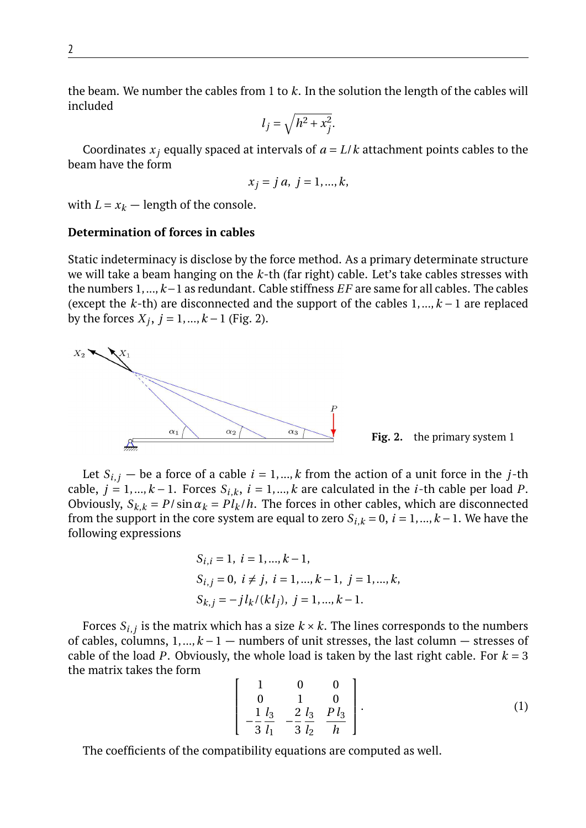the beam. We number the cables from 1 to *k*. In the solution the length of the cables will included

$$
l_j = \sqrt{h^2 + x_j^2}.
$$

Coordinates  $x_i$  equally spaced at intervals of  $a = L/k$  attachment points cables to the beam have the form

$$
x_j = ja, j = 1, ..., k,
$$

with  $L = x_k$  — length of the console.

# **Determination of forces in cables**

Static indeterminacy is disclose by the force method. As a primary determinate structure we will take a beam hanging on the *k*-th (far right) cable. Let's take cables stresses with the numbers 1,...,*k*−1 as redundant. Cable stiffness *EF* are same for all cables. The cables (except the *k*-th) are disconnected and the support of the cables 1,...,*k* − 1 are replaced by the forces  $X_j$ ,  $j = 1, ..., k - 1$  (Fig. 2).



**Fig. 2.** the primary system 1

Let  $S_{i,j}$  — be a force of a cable  $i = 1,...,k$  from the action of a unit force in the *j*-th cable,  $j = 1, ..., k − 1$ . Forces  $S_{i,k}$ ,  $i = 1, ..., k$  are calculated in the *i*-th cable per load *P*. Obviously,  $S_{k,k} = P/\sin \alpha_k = Pl_k/h$ . The forces in other cables, which are disconnected from the support in the core system are equal to zero  $S_{i,k} = 0$ ,  $i = 1, ..., k - 1$ . We have the following expressions

$$
S_{i,i} = 1, i = 1, ..., k - 1,
$$
  
\n $S_{i,j} = 0, i \neq j, i = 1, ..., k - 1, j = 1, ..., k,$   
\n $S_{k,j} = -j l_k / (k l_j), j = 1, ..., k - 1.$ 

Forces  $S_{i,j}$  is the matrix which has a size  $k \times k$ . The lines corresponds to the numbers of cables, columns, 1,...,*k* − 1 — numbers of unit stresses, the last column — stresses of cable of the load *P*. Obviously, the whole load is taken by the last right cable. For  $k = 3$ the matrix takes the form

$$
\left[\begin{array}{ccc} 1 & 0 & 0 \\ 0 & 1 & 0 \\ \frac{1}{3} & \frac{l_3}{l_1} & -\frac{2}{3} & \frac{l_3}{l_2} & \frac{Pl_3}{h} \end{array}\right].
$$
 (1)

The coefficients of the compatibility equations are computed as well.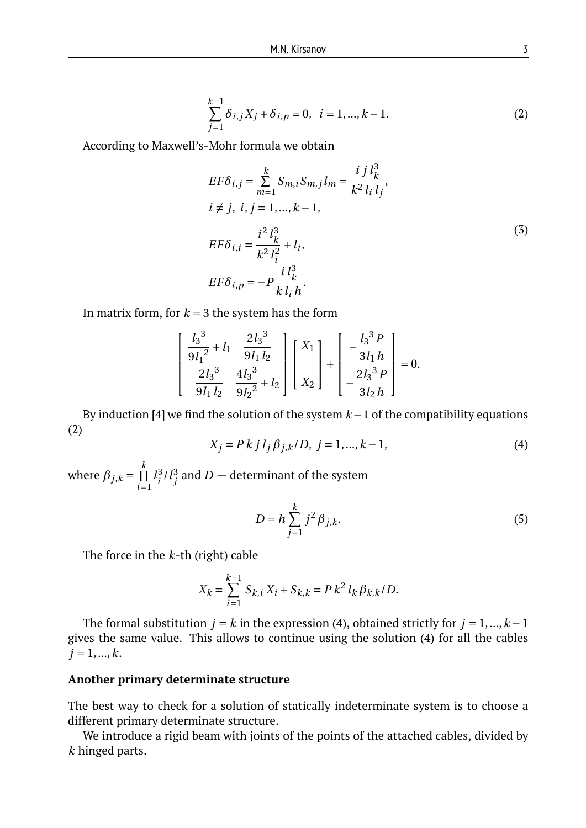$$
\sum_{j=1}^{k-1} \delta_{i,j} X_j + \delta_{i,p} = 0, \quad i = 1, ..., k-1.
$$
 (2)

According to Maxwell's-Mohr formula we obtain

$$
EF\delta_{i,j} = \sum_{m=1}^{k} S_{m,i} S_{m,j} l_m = \frac{i j l_k^3}{k^2 l_i l_j},
$$
  
\n $i \neq j, i, j = 1, ..., k - 1,$   
\n
$$
EF\delta_{i,i} = \frac{i^2 l_k^3}{k^2 l_i^2} + l_i,
$$
  
\n
$$
EF\delta_{i,p} = -P \frac{i l_k^3}{k l_i h}.
$$
  
\n(3)

In matrix form, for  $k = 3$  the system has the form

$$
\begin{bmatrix} \frac{l_3^3}{9l_1^2} + l_1 & \frac{2l_3^3}{9l_1l_2} \\ \frac{2l_3^3}{9l_1l_2} & \frac{4l_3^3}{9l_2^2} + l_2 \end{bmatrix} \begin{bmatrix} X_1 \\ X_2 \end{bmatrix} + \begin{bmatrix} -\frac{l_3^3P}{3l_1h} \\ -\frac{2l_3^3P}{3l_2h} \end{bmatrix} = 0.
$$

By induction [4] we find the solution of the system *k* −1 of the compatibility equations (2)

$$
X_j = P k j l_j \beta_{j,k} / D, \ j = 1, ..., k - 1,
$$
\n(4)

where  $\beta_{j,k} = \prod_{i=1}^{k}$ *k i*=1  $l_i^3$  $\int_{i}^{3}$ / $l_{j}^{3}$  $j^3$  and  $D-$  determinant of the system

$$
D = h \sum_{j=1}^{k} j^{2} \beta_{j,k}.
$$
 (5)

The force in the *k*-th (right) cable

$$
X_k = \sum_{i=1}^{k-1} S_{k,i} X_i + S_{k,k} = P k^2 l_k \beta_{k,k} / D.
$$

The formal substitution  $j = k$  in the expression (4), obtained strictly for  $j = 1, ..., k - 1$ gives the same value. This allows to continue using the solution (4) for all the cables  $j = 1, ..., k$ .

### **Another primary determinate structure**

The best way to check for a solution of statically indeterminate system is to choose a different primary determinate structure.

We introduce a rigid beam with joints of the points of the attached cables, divided by *k* hinged parts.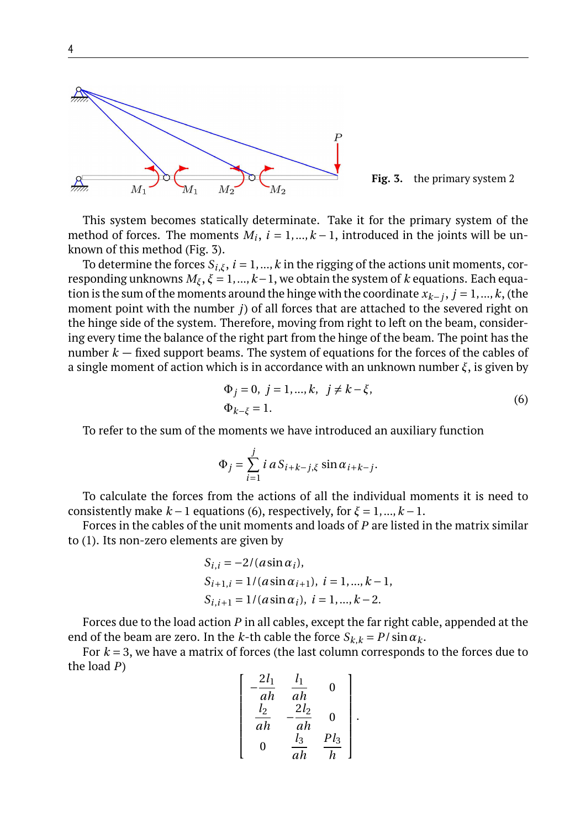

**Fig. 3.** the primary system 2

This system becomes statically determinate. Take it for the primary system of the method of forces. The moments  $M_i$ ,  $i = 1, ..., k - 1$ , introduced in the joints will be unknown of this method (Fig. 3).

To determine the forces  $S_{i,\xi}$ ,  $i = 1,...,k$  in the rigging of the actions unit moments, corresponding unknowns  $M_{\xi}$ ,  $\xi = 1,...,k-1$ , we obtain the system of *k* equations. Each equation is the sum of the moments around the hinge with the coordinate  $x_{k-j}$ ,  $j = 1, ..., k$ , (the moment point with the number *j*) of all forces that are attached to the severed right on the hinge side of the system. Therefore, moving from right to left on the beam, considering every time the balance of the right part from the hinge of the beam. The point has the number *k* — fixed support beams. The system of equations for the forces of the cables of a single moment of action which is in accordance with an unknown number *ξ*, is given by

$$
\Phi_j = 0, \ j = 1, ..., k, \ j \neq k - \xi, \n\Phi_{k-\xi} = 1.
$$
\n(6)

To refer to the sum of the moments we have introduced an auxiliary function

$$
\Phi_j = \sum_{i=1}^j i \, a \, S_{i+k-j,\xi} \, \sin \alpha_{i+k-j}.
$$

To calculate the forces from the actions of all the individual moments it is need to consistently make  $k-1$  equations (6), respectively, for  $\xi = 1, ..., k-1$ .

Forces in the cables of the unit moments and loads of *P* are listed in the matrix similar to (1). Its non-zero elements are given by

$$
S_{i,i} = -2/(a\sin\alpha_i),
$$
  
\n
$$
S_{i+1,i} = 1/(a\sin\alpha_{i+1}), i = 1, ..., k-1,
$$
  
\n
$$
S_{i,i+1} = 1/(a\sin\alpha_i), i = 1, ..., k-2.
$$

Forces due to the load action *P* in all cables, except the far right cable, appended at the end of the beam are zero. In the *k*-th cable the force  $S_{k,k} = P/\sin \alpha_k$ .

For *k* = 3, we have a matrix of forces (the last column corresponds to the forces due to the load *P*)

$$
\begin{bmatrix}\n-\frac{2l_1}{ah} & \frac{l_1}{ah} & 0 \\
\frac{l_2}{ah} & -\frac{2l_2}{ah} & 0 \\
0 & \frac{l_3}{ah} & \frac{Pl_3}{h}\n\end{bmatrix}
$$

.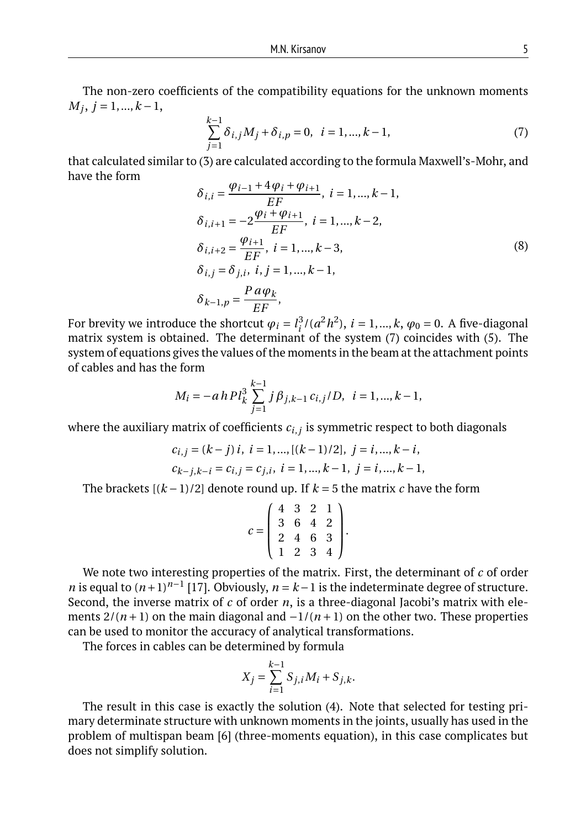The non-zero coefficients of the compatibility equations for the unknown moments  $M_j$ ,  $j = 1, ..., k - 1$ ,

$$
\sum_{j=1}^{k-1} \delta_{i,j} M_j + \delta_{i,p} = 0, \quad i = 1, ..., k-1,
$$
\n(7)

that calculated similar to (3) are calculated according to the formula Maxwell's-Mohr, and have the form *ϕi*−<sup>1</sup> +4*ϕ<sup>i</sup>* +*ϕi*+<sup>1</sup>

$$
\delta_{i,i} = \frac{\varphi_{i-1} + 4\varphi_i + \varphi_{i+1}}{EF}, i = 1, ..., k - 1,
$$
  
\n
$$
\delta_{i,i+1} = -2 \frac{\varphi_i + \varphi_{i+1}}{EF}, i = 1, ..., k - 2,
$$
  
\n
$$
\delta_{i,i+2} = \frac{\varphi_{i+1}}{EF}, i = 1, ..., k - 3,
$$
  
\n
$$
\delta_{i,j} = \delta_{j,i}, i, j = 1, ..., k - 1,
$$
  
\n
$$
\delta_{k-1,p} = \frac{Pa\varphi_k}{EF},
$$
\n(8)

For brevity we introduce the shortcut  $\varphi_i = l_i^3$  $i^3/(a^2h^2)$ ,  $i = 1, ..., k$ ,  $\varphi_0 = 0$ . A five-diagonal matrix system is obtained. The determinant of the system (7) coincides with (5). The system of equations gives the values of the moments in the beam at the attachment points of cables and has the form

$$
M_i = -a h P l_k^3 \sum_{j=1}^{k-1} j \beta_{j,k-1} c_{i,j} / D, \ \ i = 1, ..., k-1,
$$

where the auxiliary matrix of coefficients *ci*,*<sup>j</sup>* is symmetric respect to both diagonals

$$
c_{i,j} = (k - j) i, i = 1, ..., [(k - 1)/2], j = i, ..., k - i,
$$
  

$$
c_{k-j,k-i} = c_{i,j} = c_{j,i}, i = 1, ..., k - 1, j = i, ..., k - 1,
$$

The brackets  $[(k-1)/2]$  denote round up. If  $k = 5$  the matrix *c* have the form

$$
c = \left(\begin{array}{rrrr} 4 & 3 & 2 & 1 \\ 3 & 6 & 4 & 2 \\ 2 & 4 & 6 & 3 \\ 1 & 2 & 3 & 4 \end{array}\right).
$$

We note two interesting properties of the matrix. First, the determinant of *c* of order *n* is equal to  $(n+1)^{n-1}$  [17]. Obviously,  $n = k-1$  is the indeterminate degree of structure. Second, the inverse matrix of *c* of order *n*, is a three-diagonal Jacobi's matrix with elements  $2/(n+1)$  on the main diagonal and  $-1/(n+1)$  on the other two. These properties can be used to monitor the accuracy of analytical transformations.

The forces in cables can be determined by formula

$$
X_j = \sum_{i=1}^{k-1} S_{j,i} M_i + S_{j,k}.
$$

The result in this case is exactly the solution (4). Note that selected for testing primary determinate structure with unknown moments in the joints, usually has used in the problem of multispan beam [6] (three-moments equation), in this case complicates but does not simplify solution.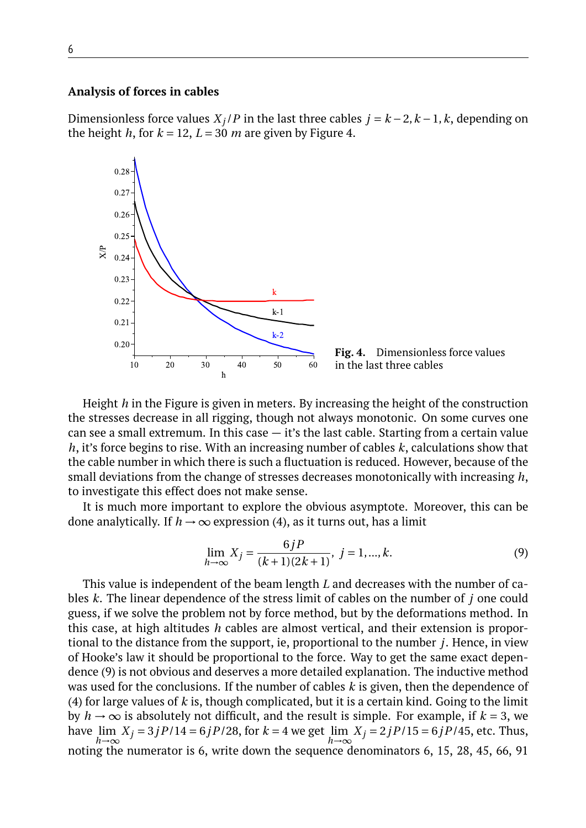### **Analysis of forces in cables**

Dimensionless force values  $X_j$  /*P* in the last three cables  $j = k - 2$ ,  $k - 1$ ,  $k$ , depending on the height *h*, for  $k = 12$ ,  $L = 30$  *m* are given by Figure 4.



**Fig. 4.** Dimensionless force values in the last three cables

Height *h* in the Figure is given in meters. By increasing the height of the construction the stresses decrease in all rigging, though not always monotonic. On some curves one can see a small extremum. In this case — it's the last cable. Starting from a certain value *h*, it's force begins to rise. With an increasing number of cables *k*, calculations show that the cable number in which there is such a fluctuation is reduced. However, because of the small deviations from the change of stresses decreases monotonically with increasing *h*, to investigate this effect does not make sense.

It is much more important to explore the obvious asymptote. Moreover, this can be done analytically. If  $h \to \infty$  expression (4), as it turns out, has a limit

$$
\lim_{h \to \infty} X_j = \frac{6jP}{(k+1)(2k+1)}, \ j = 1, ..., k.
$$
\n(9)

This value is independent of the beam length *L* and decreases with the number of cables *k*. The linear dependence of the stress limit of cables on the number of *j* one could guess, if we solve the problem not by force method, but by the deformations method. In this case, at high altitudes *h* cables are almost vertical, and their extension is proportional to the distance from the support, ie, proportional to the number *j*. Hence, in view of Hooke's law it should be proportional to the force. Way to get the same exact dependence (9) is not obvious and deserves a more detailed explanation. The inductive method was used for the conclusions. If the number of cables *k* is given, then the dependence of (4) for large values of *k* is, though complicated, but it is a certain kind. Going to the limit by  $h \to \infty$  is absolutely not difficult, and the result is simple. For example, if  $k = 3$ , we have lim  $\lim_{h \to \infty} X_j = 3jP/14 = 6jP/28$ , for *k* = 4 we get  $\lim_{h \to \infty} X_j = 2jP/15 = 6jP/45$ , etc. Thus, *h*→∞ noting the numerator is 6, write down the sequence denominators 6, 15, 28, 45, 66, 91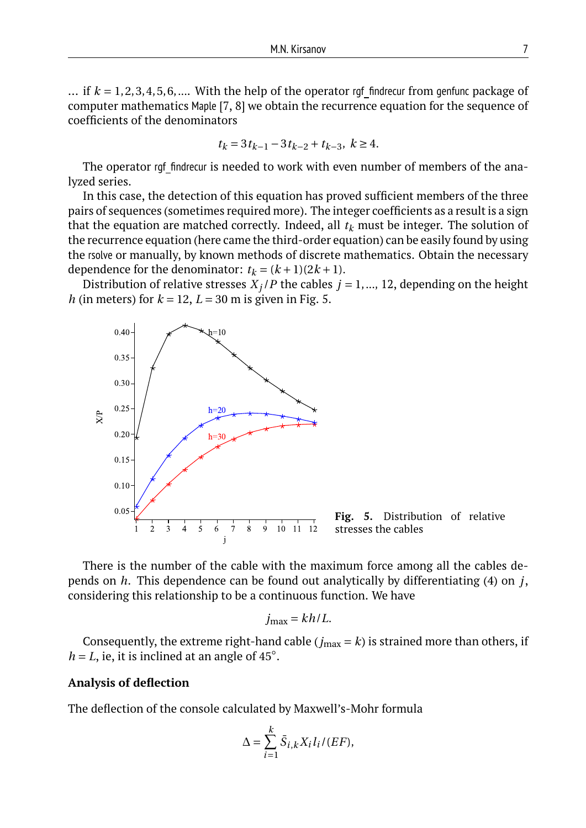... if  $k = 1, 2, 3, 4, 5, 6, \dots$  With the help of the operator rgf findrecur from genfunc package of computer mathematics Maple [7, 8] we obtain the recurrence equation for the sequence of coefficients of the denominators

$$
t_k = 3t_{k-1} - 3t_{k-2} + t_{k-3}, \ k \ge 4.
$$

The operator rgf findrecur is needed to work with even number of members of the analyzed series.

In this case, the detection of this equation has proved sufficient members of the three pairs of sequences (sometimes required more). The integer coefficients as a result is a sign that the equation are matched correctly. Indeed, all  $t_k$  must be integer. The solution of the recurrence equation (here came the third-order equation) can be easily found by using the rsolve or manually, by known methods of discrete mathematics. Obtain the necessary dependence for the denominator:  $t_k = (k+1)(2k+1)$ .

Distribution of relative stresses  $X_j$  *P* the cables  $j = 1, ..., 12$ , depending on the height *h* (in meters) for  $k = 12$ ,  $L = 30$  m is given in Fig. 5.



**Fig. 5.** Distribution of relative stresses the cables

There is the number of the cable with the maximum force among all the cables depends on *h*. This dependence can be found out analytically by differentiating (4) on *j*, considering this relationship to be a continuous function. We have

$$
j_{\max} = k h / L.
$$

Consequently, the extreme right-hand cable ( $j_{\text{max}} = k$ ) is strained more than others, if  $h = L$ , ie, it is inclined at an angle of 45°.

#### **Analysis of deflection**

The deflection of the console calculated by Maxwell's-Mohr formula

$$
\Delta = \sum_{i=1}^{k} \bar{S}_{i,k} X_i l_i / (EF),
$$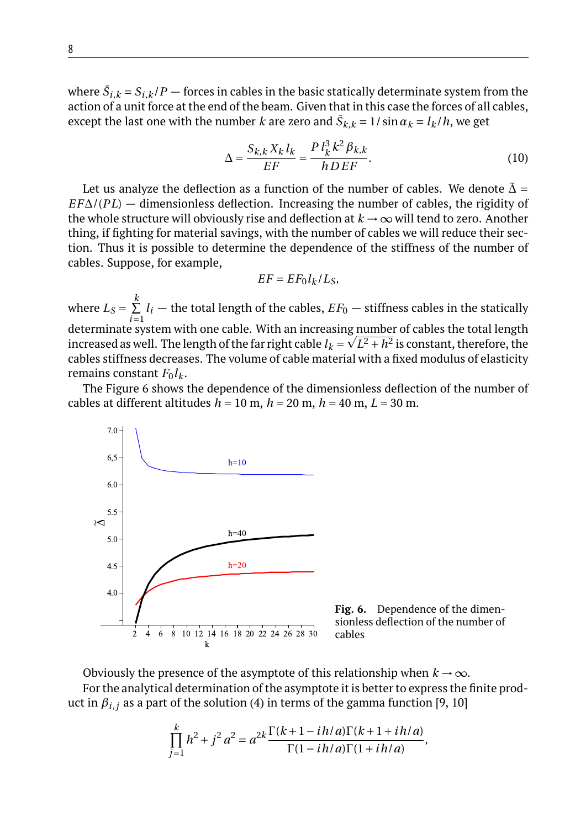where  $\bar{S}_{i,k}$  =  $S_{i,k}$  /  $P$   $-$  forces in cables in the basic statically determinate system from the action of a unit force at the end of the beam. Given that in this case the forces of all cables, except the last one with the number  $k$  are zero and  $\bar{S}_{k,k} = 1/\sin\alpha_k = l_k/h$ , we get

$$
\Delta = \frac{S_{k,k} X_k l_k}{EF} = \frac{P l_k^3 k^2 \beta_{k,k}}{h D EF}.
$$
\n(10)

Let us analyze the deflection as a function of the number of cables. We denote  $\tilde{\Delta}$  = *EF*∆/(*PL*) — dimensionless deflection. Increasing the number of cables, the rigidity of the whole structure will obviously rise and deflection at  $k \to \infty$  will tend to zero. Another thing, if fighting for material savings, with the number of cables we will reduce their section. Thus it is possible to determine the dependence of the stiffness of the number of cables. Suppose, for example,

$$
EF = EF_0 l_k / L_S,
$$

where  $L_S = \sum_{i=1}^{N}$ *k*  $\overline{i=1}$  $l_i$  — the total length of the cables,  $EF_0$  — stiffness cables in the statically determinate system with one cable. With an increasing <u>numbe</u>r of cables the total length increased as well. The length of the far right cable  $l_k$  =  $\sqrt{L^2 + h^2}$  is constant, therefore, the cables stiffness decreases. The volume of cable material with a fixed modulus of elasticity remains constant  $F_0 l_k$ .

The Figure 6 shows the dependence of the dimensionless deflection of the number of cables at different altitudes  $h = 10$  m,  $h = 20$  m,  $h = 40$  m,  $L = 30$  m.



**Fig. 6.** Dependence of the dimensionless deflection of the number of cables

Obviously the presence of the asymptote of this relationship when  $k \to \infty$ .

For the analytical determination of the asymptote it is better to express the finite product in  $\beta_{i,j}$  as a part of the solution (4) in terms of the gamma function [9, 10]

$$
\prod_{j=1}^{k} h^{2} + j^{2} a^{2} = a^{2k} \frac{\Gamma(k+1-ih/a)\Gamma(k+1+ih/a)}{\Gamma(1-ih/a)\Gamma(1+ih/a)},
$$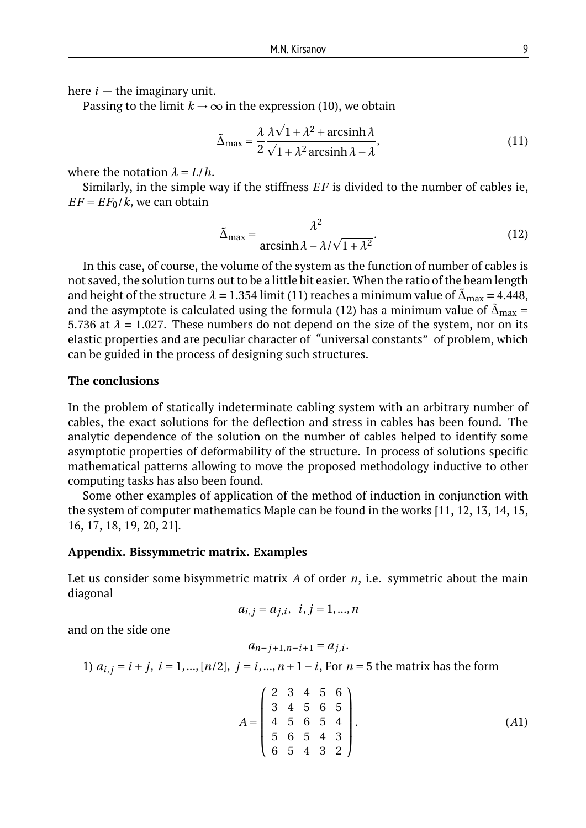here  $i$  – the imaginary unit.

Passing to the limit  $k \to \infty$  in the expression (10), we obtain

$$
\tilde{\Delta}_{\text{max}} = \frac{\lambda}{2} \frac{\lambda \sqrt{1 + \lambda^2} + \text{arcsinh}\,\lambda}{\sqrt{1 + \lambda^2} \,\text{arcsinh}\,\lambda - \lambda},\tag{11}
$$

where the notation  $\lambda = L/h$ .

Similarly, in the simple way if the stiffness *EF* is divided to the number of cables ie,  $EF = EF_0/k$ , we can obtain

$$
\tilde{\Delta}_{\text{max}} = \frac{\lambda^2}{\arcsinh \lambda - \lambda / \sqrt{1 + \lambda^2}}.
$$
\n(12)

In this case, of course, the volume of the system as the function of number of cables is not saved, the solution turns out to be a little bit easier. When the ratio of the beam length and height of the structure  $\lambda = 1.354$  limit (11) reaches a minimum value of  $\tilde{\Delta}_{\text{max}} = 4.448$ , and the asymptote is calculated using the formula (12) has a minimum value of  $\tilde{\Delta}_{\text{max}} =$ 5.736 at  $\lambda = 1.027$ . These numbers do not depend on the size of the system, nor on its elastic properties and are peculiar character of "universal constants" of problem, which can be guided in the process of designing such structures.

### **The conclusions**

In the problem of statically indeterminate cabling system with an arbitrary number of cables, the exact solutions for the deflection and stress in cables has been found. The analytic dependence of the solution on the number of cables helped to identify some asymptotic properties of deformability of the structure. In process of solutions specific mathematical patterns allowing to move the proposed methodology inductive to other computing tasks has also been found.

Some other examples of application of the method of induction in conjunction with the system of computer mathematics Maple can be found in the works [11, 12, 13, 14, 15, 16, 17, 18, 19, 20, 21].

#### **Appendix. Bissymmetric matrix. Examples**

Let us consider some bisymmetric matrix *A* of order *n*, i.e. symmetric about the main diagonal

$$
a_{i,j} = a_{j,i}, i, j = 1, ..., n
$$

and on the side one

$$
a_{n-j+1,n-i+1} = a_{j,i}.
$$

1)  $a_{i,j} = i + j$ ,  $i = 1, ..., [n/2]$ ,  $j = i, ..., n + 1 - i$ , For  $n = 5$  the matrix has the form

$$
A = \begin{pmatrix} 2 & 3 & 4 & 5 & 6 \\ 3 & 4 & 5 & 6 & 5 \\ 4 & 5 & 6 & 5 & 4 \\ 5 & 6 & 5 & 4 & 3 \\ 6 & 5 & 4 & 3 & 2 \end{pmatrix}.
$$
 (A1)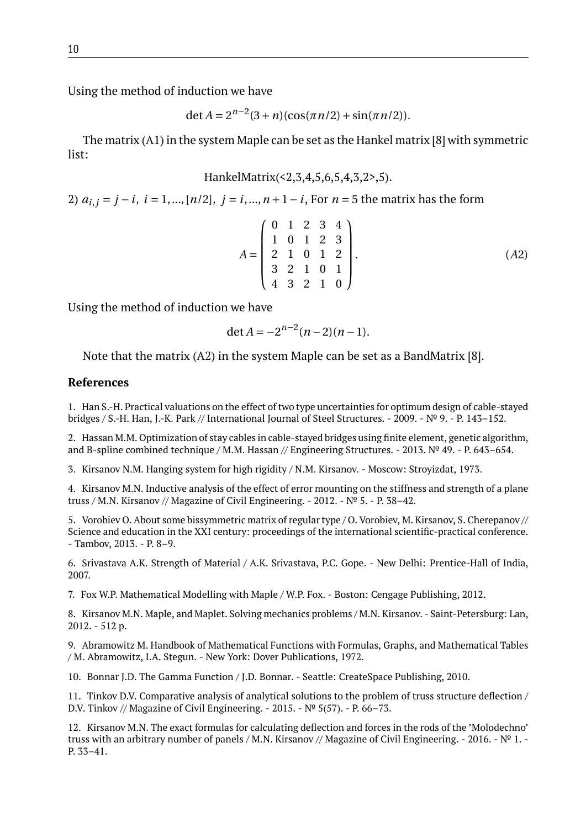Using the method of induction we have

$$
\det A = 2^{n-2}(3+n)(\cos(\pi n/2) + \sin(\pi n/2)).
$$

The matrix (A1) in the system Maple can be set as the Hankel matrix [8] with symmetric list:

HankelMatrix(<2,3,4,5,6,5,4,3,2>,5).

2)  $a_{i,j} = j - i$ ,  $i = 1, ..., \lfloor n/2 \rfloor$ ,  $j = i, ..., n + 1 - i$ , For  $n = 5$  the matrix has the form

$$
A = \begin{pmatrix} 0 & 1 & 2 & 3 & 4 \\ 1 & 0 & 1 & 2 & 3 \\ 2 & 1 & 0 & 1 & 2 \\ 3 & 2 & 1 & 0 & 1 \\ 4 & 3 & 2 & 1 & 0 \end{pmatrix}.
$$
 (A2)

Using the method of induction we have

$$
\det A = -2^{n-2}(n-2)(n-1).
$$

Note that the matrix (A2) in the system Maple can be set as a BandMatrix [8].

# **References**

1. Han S.-H. Practical valuations on the effect of two type uncertainties for optimum design of cable-stayed bridges / S.-H. Han, J.-K. Park // International Journal of Steel Structures. - 2009. - № 9. - P. 143–152.

2. Hassan M.M. Optimization of stay cables in cable-stayed bridges using finite element, genetic algorithm, and B-spline combined technique / M.M. Hassan // Engineering Structures. - 2013. № 49. - P. 643–654.

3. Kirsanov N.M. Hanging system for high rigidity / N.M. Kirsanov. - Moscow: Stroyizdat, 1973.

4. Kirsanov M.N. Inductive analysis of the effect of error mounting on the stiffness and strength of a plane truss / M.N. Kirsanov // Magazine of Civil Engineering. - 2012. -  $N^{\circ}$  5. - P. 38–42.

5. Vorobiev O. About some bissymmetric matrix of regular type / O. Vorobiev, M. Kirsanov, S. Cherepanov // Science and education in the XXI century: proceedings of the international scientific-practical conference. - Tambov, 2013. - P. 8–9.

6. Srivastava A.K. Strength of Material / A.K. Srivastava, P.C. Gope. - New Delhi: Prentice-Hall of India, 2007.

7. Fox W.P. Mathematical Modelling with Maple / W.P. Fox. - Boston: Cengage Publishing, 2012.

8. Kirsanov M.N. Maple, and Maplet. Solving mechanics problems / M.N. Kirsanov. - Saint-Petersburg: Lan, 2012. - 512 p.

9. Abramowitz M. Handbook of Mathematical Functions with Formulas, Graphs, and Mathematical Tables / M. Abramowitz, I.A. Stegun. - New York: Dover Publications, 1972.

10. Bonnar J.D. The Gamma Function / J.D. Bonnar. - Seattle: CreateSpace Publishing, 2010.

11. Tinkov D.V. Comparative analysis of analytical solutions to the problem of truss structure deflection / D.V. Tinkov // Magazine of Civil Engineering. - 2015. - № 5(57). - P. 66–73.

12. Kirsanov M.N. The exact formulas for calculating deflection and forces in the rods of the 'Molodechno' truss with an arbitrary number of panels / M.N. Kirsanov // Magazine of Civil Engineering. - 2016. -  $N<sup>o</sup> 1.$  -P. 33–41.